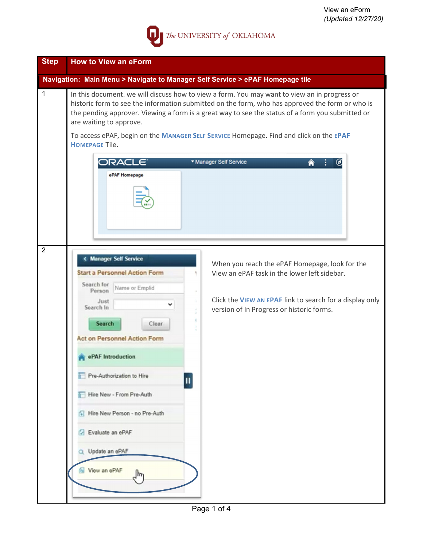

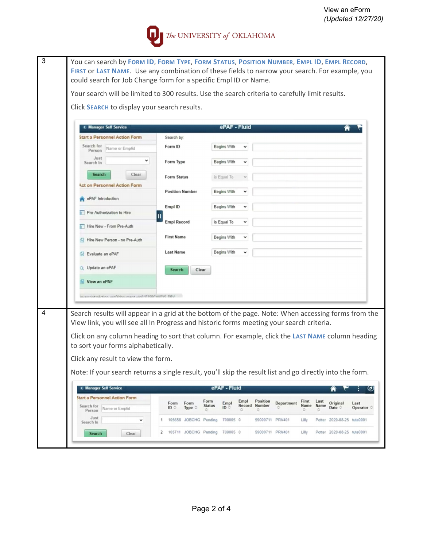

| Your search will be limited to 300 results. Use the search criteria to carefully limit results.                                        |                                                                                          |                          |              |                 |            |           |                                                                                                          |                     |                             |  |  |  |  |  |  |  |  |  |
|----------------------------------------------------------------------------------------------------------------------------------------|------------------------------------------------------------------------------------------|--------------------------|--------------|-----------------|------------|-----------|----------------------------------------------------------------------------------------------------------|---------------------|-----------------------------|--|--|--|--|--|--|--|--|--|
|                                                                                                                                        |                                                                                          |                          |              |                 |            |           |                                                                                                          |                     |                             |  |  |  |  |  |  |  |  |  |
| Click SEARCH to display your search results.                                                                                           |                                                                                          |                          |              |                 |            |           |                                                                                                          |                     |                             |  |  |  |  |  |  |  |  |  |
| « Manager Self Service                                                                                                                 |                                                                                          | ePAF - Fluid             |              |                 |            |           |                                                                                                          |                     |                             |  |  |  |  |  |  |  |  |  |
| <b>Start a Personnel Action Form</b>                                                                                                   | Search by:                                                                               |                          |              |                 |            |           |                                                                                                          |                     |                             |  |  |  |  |  |  |  |  |  |
| Search for<br>Name or Emplid<br>Person                                                                                                 | Form ID                                                                                  | Begins With              | $\check{ }$  |                 |            |           |                                                                                                          |                     |                             |  |  |  |  |  |  |  |  |  |
| Just<br>v<br>Search In                                                                                                                 | Form Type                                                                                | Begins With              | v            |                 |            |           |                                                                                                          |                     |                             |  |  |  |  |  |  |  |  |  |
| Clear<br>Search                                                                                                                        | Form Status                                                                              | is Equal To              |              |                 |            |           |                                                                                                          |                     |                             |  |  |  |  |  |  |  |  |  |
| <b>Act on Personnel Action Form</b>                                                                                                    | <b>Position Number</b>                                                                   | Begins With              |              |                 |            |           |                                                                                                          |                     |                             |  |  |  |  |  |  |  |  |  |
| ePAF Introduction                                                                                                                      | Empl ID                                                                                  | Begins With              | $\check{ }$  |                 |            |           |                                                                                                          |                     |                             |  |  |  |  |  |  |  |  |  |
| Pre-Authorization to Hire<br>Hire New - From Pre-Auth                                                                                  | <b>Empl Record</b>                                                                       | is Equal To              | $\checkmark$ |                 |            |           |                                                                                                          |                     |                             |  |  |  |  |  |  |  |  |  |
| Hire New Person - no Pre-Auth                                                                                                          | <b>First Name</b>                                                                        | Begins With              | v            |                 |            |           |                                                                                                          |                     |                             |  |  |  |  |  |  |  |  |  |
| Evaluate an ePAF                                                                                                                       | <b>Last Name</b>                                                                         | Begins With              | $\check{ }$  |                 |            |           |                                                                                                          |                     |                             |  |  |  |  |  |  |  |  |  |
| Update an ePAF                                                                                                                         | <b>Search</b><br>Clear                                                                   |                          |              |                 |            |           |                                                                                                          |                     |                             |  |  |  |  |  |  |  |  |  |
| View an ePAF                                                                                                                           |                                                                                          |                          |              |                 |            |           |                                                                                                          |                     |                             |  |  |  |  |  |  |  |  |  |
| UDA SYSTEMS OSCOVAL AND HARMONDAN HANDLE AND                                                                                           |                                                                                          |                          |              |                 |            |           |                                                                                                          |                     |                             |  |  |  |  |  |  |  |  |  |
|                                                                                                                                        |                                                                                          |                          |              |                 |            |           |                                                                                                          |                     |                             |  |  |  |  |  |  |  |  |  |
| Search results will appear in a grid at the bottom of the page. Note: When accessing forms from the                                    |                                                                                          |                          |              |                 |            |           |                                                                                                          |                     |                             |  |  |  |  |  |  |  |  |  |
|                                                                                                                                        | View link, you will see all In Progress and historic forms meeting your search criteria. |                          |              |                 |            |           |                                                                                                          |                     |                             |  |  |  |  |  |  |  |  |  |
| Click on any column heading to sort that column. For example, click the LAST NAME column heading<br>to sort your forms alphabetically. |                                                                                          |                          |              |                 |            |           |                                                                                                          |                     |                             |  |  |  |  |  |  |  |  |  |
|                                                                                                                                        |                                                                                          |                          |              |                 |            |           |                                                                                                          |                     |                             |  |  |  |  |  |  |  |  |  |
|                                                                                                                                        |                                                                                          |                          |              |                 |            |           | Note: If your search returns a single result, you'll skip the result list and go directly into the form. |                     |                             |  |  |  |  |  |  |  |  |  |
| Click any result to view the form.                                                                                                     |                                                                                          |                          |              |                 |            |           |                                                                                                          |                     |                             |  |  |  |  |  |  |  |  |  |
|                                                                                                                                        |                                                                                          |                          |              |                 |            |           |                                                                                                          |                     |                             |  |  |  |  |  |  |  |  |  |
| < Manager Self Service                                                                                                                 |                                                                                          | ePAF - Fluid             |              |                 |            |           |                                                                                                          | Ħ                   | ٠                           |  |  |  |  |  |  |  |  |  |
| <b>Start a Personnel Action Form</b>                                                                                                   | Form<br>Form                                                                             | Form<br>Empl             | Empl         | Position        | Department | First     | Last                                                                                                     | Original            | Last                        |  |  |  |  |  |  |  |  |  |
| Search for<br>Name or Emplid<br>Person                                                                                                 | ID<br>Type 0                                                                             | <b>Status</b><br>ID<br>٥ | Record       | Number          |            | Name<br>٥ | Name                                                                                                     | Date C              | $\bm{\omega}$<br>Operator C |  |  |  |  |  |  |  |  |  |
| Just<br>$\check{~}$<br>Search In                                                                                                       | 105658 JOBCHG Pending<br>1                                                               | 700005 0                 |              | 59000711 PRV401 |            | Lilly     | Potter                                                                                                   | 2020-08-25 tute0001 |                             |  |  |  |  |  |  |  |  |  |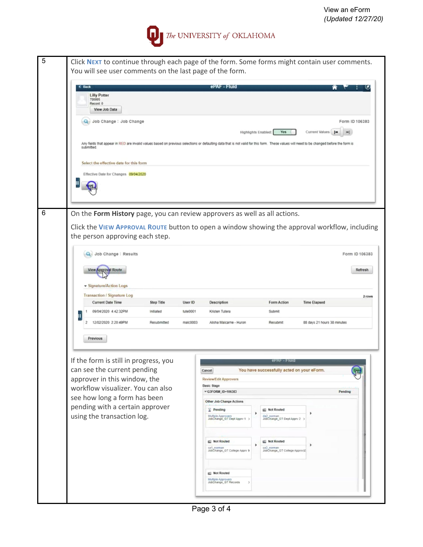## The UNIVERSITY of OKLAHOMA

| You will see user comments on the last page of the form. |    |                                                                              |                   |          |                                                            |                                                           |                                                                                                                                                                                                             |                |
|----------------------------------------------------------|----|------------------------------------------------------------------------------|-------------------|----------|------------------------------------------------------------|-----------------------------------------------------------|-------------------------------------------------------------------------------------------------------------------------------------------------------------------------------------------------------------|----------------|
|                                                          |    | <b>C</b> Back<br><b>Lilly Potter</b><br>700005<br>Record: 0<br>View Job Data |                   |          | ePAF - Fluid                                               |                                                           |                                                                                                                                                                                                             |                |
|                                                          |    | Q Job Change : Job Change                                                    |                   |          |                                                            |                                                           | Form ID 106383                                                                                                                                                                                              |                |
|                                                          |    | submitted.                                                                   |                   |          |                                                            | Highlights Enabled:<br><b>Yes</b>                         | Current Values<br>Any fields that appear in RED are invalid values based on previous selections or defaulting data that is not valid for this form. These values will need to be changed before the form is |                |
|                                                          |    | Select the effective date for this form                                      |                   |          |                                                            |                                                           |                                                                                                                                                                                                             |                |
|                                                          |    | Effective Date for Changes 09/04/2020                                        |                   |          |                                                            |                                                           |                                                                                                                                                                                                             |                |
|                                                          | Ш  |                                                                              |                   |          |                                                            |                                                           |                                                                                                                                                                                                             |                |
|                                                          |    |                                                                              |                   |          |                                                            |                                                           |                                                                                                                                                                                                             |                |
|                                                          |    | On the Form History page, you can review approvers as well as all actions.   |                   |          |                                                            |                                                           |                                                                                                                                                                                                             |                |
|                                                          |    | the person approving each step.                                              |                   |          |                                                            |                                                           | Click the VIEW APPROVAL ROUTE button to open a window showing the approval workflow, including                                                                                                              |                |
|                                                          |    | Job Change: Results                                                          |                   |          |                                                            |                                                           |                                                                                                                                                                                                             | Form ID 106383 |
|                                                          |    |                                                                              |                   |          |                                                            |                                                           |                                                                                                                                                                                                             |                |
|                                                          |    | <b>View Approval Route</b>                                                   |                   |          |                                                            |                                                           |                                                                                                                                                                                                             | Refresh        |
|                                                          |    |                                                                              |                   |          |                                                            |                                                           |                                                                                                                                                                                                             |                |
|                                                          |    | ▼ Signature/Action Logs                                                      |                   |          |                                                            |                                                           |                                                                                                                                                                                                             |                |
|                                                          |    | <b>Transaction / Signature Log</b><br><b>Current Date Time</b>               | <b>Step Title</b> | User ID  | Description                                                | <b>Form Action</b>                                        | <b>Time Elapsed</b>                                                                                                                                                                                         |                |
|                                                          | 11 | 09/04/2020 4:42:32PM                                                         | Initiated         | tute0001 | Kristen Tutera                                             | Submit                                                    |                                                                                                                                                                                                             |                |
|                                                          |    | 12/02/2020 2:20:49PM<br>2                                                    | Resubmitted       | malc0003 | Alisha Malcarne - Huron                                    | Resubmit                                                  | 88 days 21 hours 38 minutes                                                                                                                                                                                 |                |
|                                                          |    | Previous                                                                     |                   |          |                                                            |                                                           |                                                                                                                                                                                                             |                |
|                                                          |    | If the form is still in progress, you                                        |                   |          |                                                            |                                                           |                                                                                                                                                                                                             |                |
|                                                          |    | can see the current pending                                                  |                   |          | Cancel                                                     | You have successfully acted on your eForm.                |                                                                                                                                                                                                             |                |
|                                                          |    | approver in this window, the                                                 |                   |          | <b>Review/Edit Approvers</b>                               |                                                           |                                                                                                                                                                                                             |                |
|                                                          |    | workflow visualizer. You can also                                            |                   |          | <b>Basic Stage</b><br>▼ G3FORM_ID-106383                   |                                                           | Pending                                                                                                                                                                                                     |                |
|                                                          |    | see how long a form has been                                                 |                   |          | Other Job Change Actions                                   |                                                           |                                                                                                                                                                                                             |                |
|                                                          |    | pending with a certain approver                                              |                   |          | $\mathbb{Z}$ Pending                                       | <b>BE Not Routed</b><br>da2_norman                        |                                                                                                                                                                                                             | 2 rows         |
|                                                          |    | using the transaction log.                                                   |                   |          | Multiple Approvers<br>JobChange_GT Dept Apprv 1 >          | JobChange_GT Dept Apprv 2 >                               |                                                                                                                                                                                                             |                |
|                                                          |    |                                                                              |                   |          |                                                            |                                                           |                                                                                                                                                                                                             |                |
|                                                          |    |                                                                              |                   |          | 图 Not Routed<br>ca1_norman<br>JobChange_GT College Apprv 1 | Not Routed<br>ca2 norman<br>JobChange_GT College Approv32 |                                                                                                                                                                                                             |                |
|                                                          |    |                                                                              |                   |          | <b>Ell Not Routed</b>                                      |                                                           |                                                                                                                                                                                                             |                |